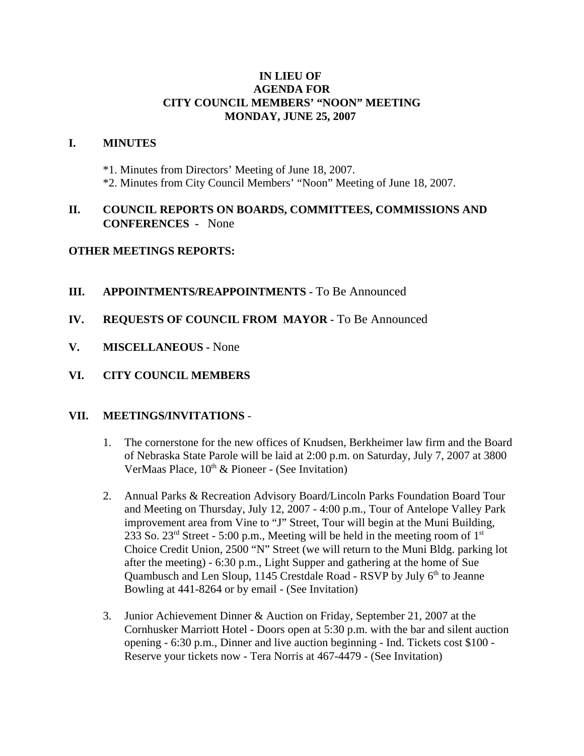#### **IN LIEU OF AGENDA FOR CITY COUNCIL MEMBERS' "NOON" MEETING MONDAY, JUNE 25, 2007**

#### **I. MINUTES**

- \*1. Minutes from Directors' Meeting of June 18, 2007.
- \*2. Minutes from City Council Members' "Noon" Meeting of June 18, 2007.

## **II. COUNCIL REPORTS ON BOARDS, COMMITTEES, COMMISSIONS AND CONFERENCES -** None

## **OTHER MEETINGS REPORTS:**

- **III.** APPOINTMENTS/REAPPOINTMENTS To Be Announced
- **IV. REQUESTS OF COUNCIL FROM MAYOR -** To Be Announced
- **V. MISCELLANEOUS -** None
- **VI. CITY COUNCIL MEMBERS**

## **VII. MEETINGS/INVITATIONS** -

- 1. The cornerstone for the new offices of Knudsen, Berkheimer law firm and the Board of Nebraska State Parole will be laid at 2:00 p.m. on Saturday, July 7, 2007 at 3800 VerMaas Place,  $10^{th}$  & Pioneer - (See Invitation)
- 2. Annual Parks & Recreation Advisory Board/Lincoln Parks Foundation Board Tour and Meeting on Thursday, July 12, 2007 - 4:00 p.m., Tour of Antelope Valley Park improvement area from Vine to "J" Street, Tour will begin at the Muni Building, 233 So.  $23<sup>rd</sup>$  Street - 5:00 p.m., Meeting will be held in the meeting room of  $1<sup>st</sup>$ Choice Credit Union, 2500 "N" Street (we will return to the Muni Bldg. parking lot after the meeting) - 6:30 p.m., Light Supper and gathering at the home of Sue Quambusch and Len Sloup, 1145 Crestdale Road - RSVP by July  $6<sup>th</sup>$  to Jeanne Bowling at 441-8264 or by email - (See Invitation)
- 3. Junior Achievement Dinner & Auction on Friday, September 21, 2007 at the Cornhusker Marriott Hotel - Doors open at 5:30 p.m. with the bar and silent auction opening - 6:30 p.m., Dinner and live auction beginning - Ind. Tickets cost \$100 - Reserve your tickets now - Tera Norris at 467-4479 - (See Invitation)